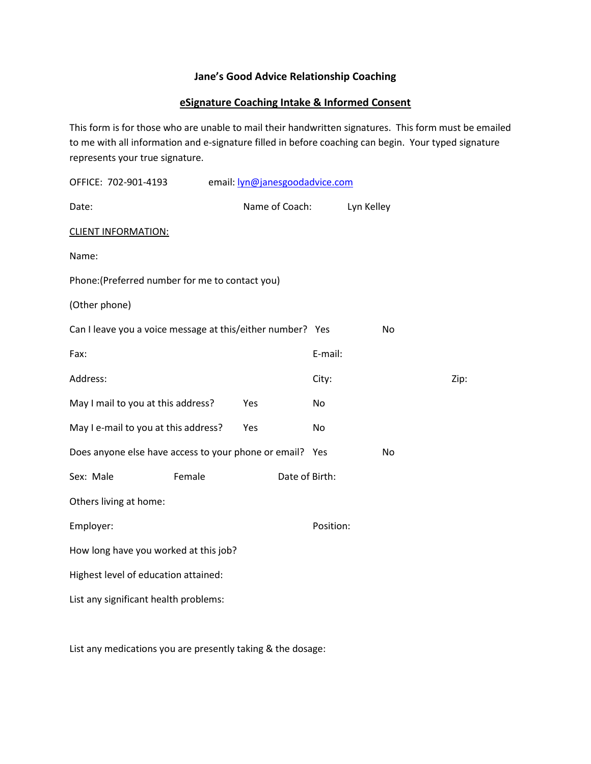# **Jane's Good Advice Relationship Coaching**

# **eSignature Coaching Intake & Informed Consent**

This form is for those who are unable to mail their handwritten signatures. This form must be emailed to me with all information and e-signature filled in before coaching can begin. Your typed signature represents your true signature.

| OFFICE: 702-901-4193                                       | email: lyn@janesgoodadvice.com |           |            |      |
|------------------------------------------------------------|--------------------------------|-----------|------------|------|
| Date:                                                      | Name of Coach:                 |           | Lyn Kelley |      |
| <b>CLIENT INFORMATION:</b>                                 |                                |           |            |      |
| Name:                                                      |                                |           |            |      |
| Phone: (Preferred number for me to contact you)            |                                |           |            |      |
| (Other phone)                                              |                                |           |            |      |
| Can I leave you a voice message at this/either number? Yes |                                |           | <b>No</b>  |      |
| Fax:                                                       |                                | E-mail:   |            |      |
| Address:                                                   |                                | City:     |            | Zip: |
| May I mail to you at this address?                         | Yes                            | <b>No</b> |            |      |
| May I e-mail to you at this address?                       | Yes                            | No        |            |      |
| Does anyone else have access to your phone or email? Yes   |                                |           | <b>No</b>  |      |
| Female<br>Sex: Male                                        | Date of Birth:                 |           |            |      |
| Others living at home:                                     |                                |           |            |      |
| Employer:                                                  |                                | Position: |            |      |
| How long have you worked at this job?                      |                                |           |            |      |
| Highest level of education attained:                       |                                |           |            |      |
| List any significant health problems:                      |                                |           |            |      |

List any medications you are presently taking & the dosage: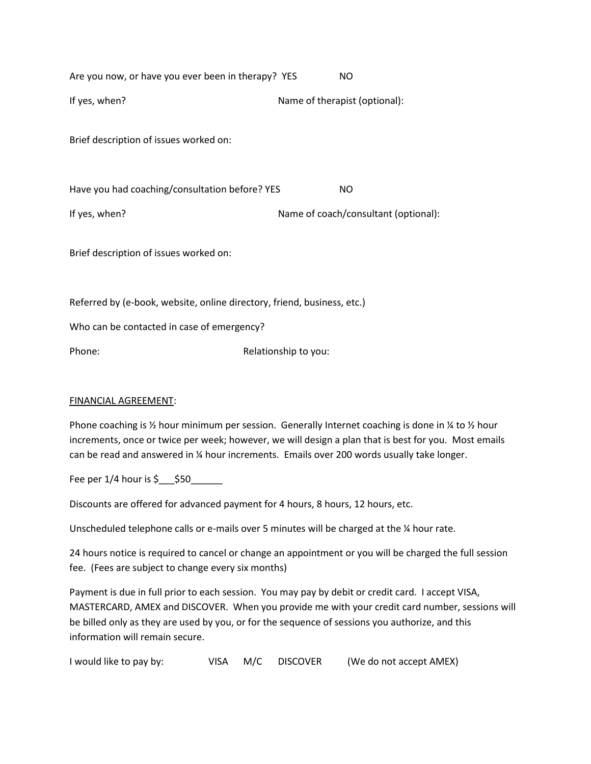| Are you now, or have you ever been in therapy? YES                      | NO                                   |
|-------------------------------------------------------------------------|--------------------------------------|
| If yes, when?                                                           | Name of therapist (optional):        |
| Brief description of issues worked on:                                  |                                      |
| Have you had coaching/consultation before? YES                          | NO.                                  |
| If yes, when?                                                           | Name of coach/consultant (optional): |
| Brief description of issues worked on:                                  |                                      |
| Referred by (e-book, website, online directory, friend, business, etc.) |                                      |
| Who can be contacted in case of emergency?                              |                                      |
| Phone:                                                                  | Relationship to you:                 |
|                                                                         |                                      |

## FINANCIAL AGREEMENT:

Phone coaching is  $\frac{1}{2}$  hour minimum per session. Generally Internet coaching is done in  $\frac{1}{4}$  to  $\frac{1}{2}$  hour increments, once or twice per week; however, we will design a plan that is best for you. Most emails can be read and answered in ¼ hour increments. Emails over 200 words usually take longer.

Fee per  $1/4$  hour is  $\zeta$   $\zeta$  50

Discounts are offered for advanced payment for 4 hours, 8 hours, 12 hours, etc.

Unscheduled telephone calls or e-mails over 5 minutes will be charged at the  $\frac{1}{4}$  hour rate.

24 hours notice is required to cancel or change an appointment or you will be charged the full session fee. (Fees are subject to change every six months)

Payment is due in full prior to each session. You may pay by debit or credit card. I accept VISA, MASTERCARD, AMEX and DISCOVER. When you provide me with your credit card number, sessions will be billed only as they are used by you, or for the sequence of sessions you authorize, and this information will remain secure.

| I would like to pay by: |  |  | VISA M/C DISCOVER | (We do not accept AMEX) |
|-------------------------|--|--|-------------------|-------------------------|
|-------------------------|--|--|-------------------|-------------------------|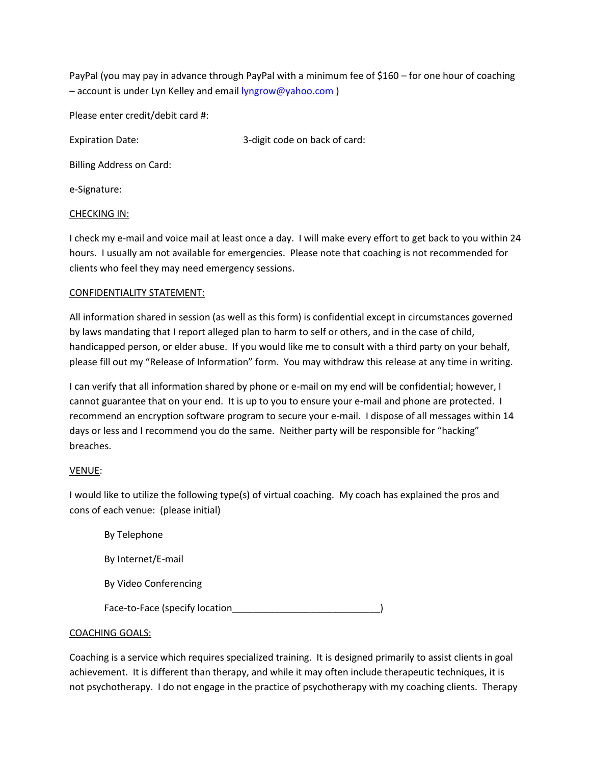PayPal (you may pay in advance through PayPal with a minimum fee of \$160 – for one hour of coaching – account is under Lyn Kelley and email [lyngrow@yahoo.com](mailto:lyngrow@yahoo.com) )

Please enter credit/debit card #:

Expiration Date:  $\qquad \qquad$  3-digit code on back of card:

Billing Address on Card:

e-Signature:

## CHECKING IN:

I check my e-mail and voice mail at least once a day. I will make every effort to get back to you within 24 hours. I usually am not available for emergencies. Please note that coaching is not recommended for clients who feel they may need emergency sessions.

## CONFIDENTIALITY STATEMENT:

All information shared in session (as well as this form) is confidential except in circumstances governed by laws mandating that I report alleged plan to harm to self or others, and in the case of child, handicapped person, or elder abuse. If you would like me to consult with a third party on your behalf, please fill out my "Release of Information" form. You may withdraw this release at any time in writing.

I can verify that all information shared by phone or e-mail on my end will be confidential; however, I cannot guarantee that on your end. It is up to you to ensure your e-mail and phone are protected. I recommend an encryption software program to secure your e-mail. I dispose of all messages within 14 days or less and I recommend you do the same. Neither party will be responsible for "hacking" breaches.

## VENUE:

I would like to utilize the following type(s) of virtual coaching. My coach has explained the pros and cons of each venue: (please initial)

## COACHING GOALS:

Coaching is a service which requires specialized training. It is designed primarily to assist clients in goal achievement. It is different than therapy, and while it may often include therapeutic techniques, it is not psychotherapy. I do not engage in the practice of psychotherapy with my coaching clients. Therapy